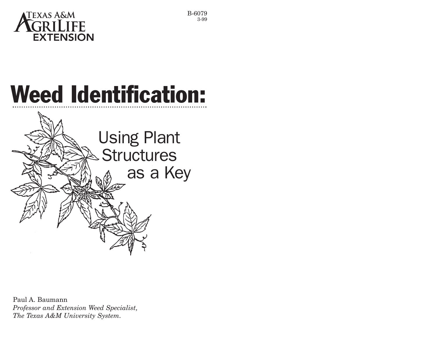

## Weed Identification:



Paul A. Baumann *Professor and Extension Weed Specialist, The Texas A&M University System.*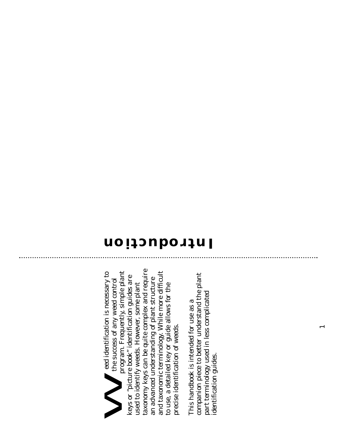taxonomy keys can be quite complex and require taxonomy keys can be quite complex and require program. Frequently, simple plant program. Frequently, simple plant and taxonomic terminology. While more difficult and taxonomic terminology. While more difficult eed identification is necessary to eed identification is necessary to "picture book" identification guides are keys or "picture book" identification guides are the success of any weed control an advanced understanding of plant structure an advanced understanding of plant structure the success of any weed control used to identify weeds. However, some plant used to identify weeds. However, some plant to use, a detailed key or guide allows for the to use, a detailed key or guide allows for the precise identification of weeds. precise identification of weeds.  $\bm{\gtrsim}$ keys or

plant companion piece to better understand the plant companion piece to better understand the part terminology used in less complicated part terminology used in less complicated This handbook is intended for use as a This handbook is intended for use as a identification guides. identification guides.

## **Introduction**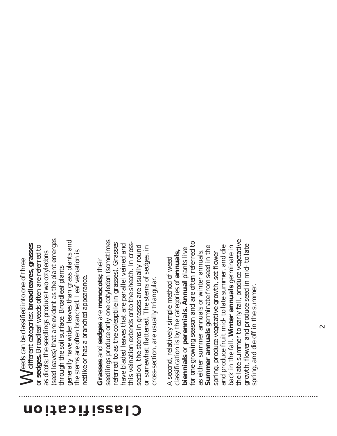(seed leaves) that are evident as the plant emerges (seed leaves) that are evident as the plant emerges generally have wider leaves than grass plants and generally have wider leaves than grass plants and Meeds can be classified into one of three<br>different categories: **broadleaves, grasses** Weeds can be classified into one of three different categories: **broadleaves, grasses** or **sedges.** Broadleaf weeds often are referred to or sedges. Broadleaf weeds often are referred to the stems are often branched. Leaf veination is the stems are often branched. Leaf veination is as dicots; the seedlings produce two cotyledons as dicots; the seedlings produce two cotyledons through the soil surface. Broadleaf plants through the soil surface. Broadleaf plants netlike or has a branched appearance. netlike or has a branched appearance.

seedlings produce only one cotyledon (sometimes seedlings produce only one cotyledon (sometimes referred to as the coleoptile in grasses). Grasses this veination extends onto the sheath. In crossthis veination extends onto the sheath. In crossreferred to as the coleoptile in grasses). Grasses have bladed leaves that are parallel veined and have bladed leaves that are parallel veined and section, the stems in grasses are usually round section, the stems in grasses are usually round or somewhat flattened. The stems of sedges, in or somewhat flattened. The stems of sedges, in Grasses and sedges are monocots; their **Grasses** and **sedges** are **monocots;** their cross-section, are usually triangular. cross-section, are usually triangular.

the late summer to early fall, produce vegetative the late summer to early fall, produce vegetative for one growing season and are often referred to for one growing season and are often referred to growth, flower and produce seed in mid- to late back in the fall. Winter annuals germinate in growth, flower and produce seed in mid- to late **Summer annuals** germinate from seed in the and produce fruit mid- to late summer, and die and produce fruit mid- to late summer, and die **Winter annuals** germinate in **Summer annuals** germinate from seed in the biennials or perennials. Annual plants live **biennials** or **perennials. Annual** plants live as either summer annuals or winter annuals. classification is by the categories of annuals, classification is by the categories of **annuals,** as either summer annuals or winter annuals. spring, produce vegetative growth, set flower spring, produce vegetative growth, set flower A second, relatively simple method of weed second, relatively simple method of weed spring, and die off in the summer. spring, and die off in the summer. back in the fall.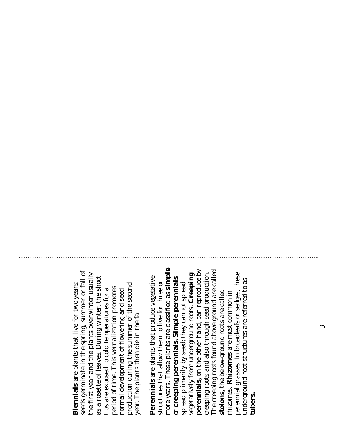seeds germinate in the spring, summer or fall of seeds germinate in the spring, summer or fall of the first year and the plants overwinter usually the first year and the plants overwinter usually as a rosette of leaves. During winter, the shoot as a rosette of leaves. During winter, the shoot **Biennials** are plants that live for two years; **Biennials** are plants that live for two years; production during the summer of the second production during the summer of the second period of time. This vernalization promotes period of time. This vernalization promotes tips are exposed to cold temperatures for a tips are exposed to cold temperatures for a normal development of flowering and seed normal development of flowering and seed year. The plants then die in the fall. year. The plants then die in the fall.

more years. These plants are classified as simple more years. These plants are classified as **simple** perennials, on the other hand, can reproduce by **perennials,** on the other hand, can reproduce by The creeping roots found above ground are called The creeping roots found above ground are called creeping roots and also through seed production. vegetatively from underground roots. Creeping perennial grasses. In broadleafs or sedges, these creeping roots and also through seed production. perennial grasses. In broadleafs or sedges, these vegetatively from underground roots. **Creeping** Perennials are plants that produce vegetative **Perennials** are plants that produce vegetative or creeping perennials. Simple perennials or **creeping perennials. Simple perennials** underground root structures are referred to as underground root structures are referred to as structures that allow them to live for three or structures that allow them to live for three or spread primarily by seed; they cannot spread spread primarily by seed; they cannot spread stolons, the below-ground roots are called **stolons,** the below-ground roots are called rhizomes. Rhizomes are most common in rhizomes. **Rhizomes** are most common in **tubers.**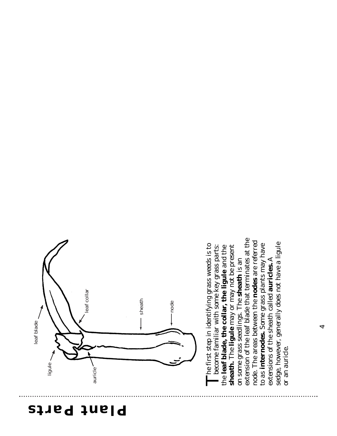## **Plant Parts**



extension of the leaf blade that terminates at the extension of the leaf blade that terminates at the node. The areas between the **nodes** are referred node. The areas between the **nodes** are referred sedge, however, generally does not have a ligule sedge, however, generally does not have a ligule The first step in identifying grass weeds is to **Th**e first step in identifying grass weeds is to become familiar with some key grass parts: to as internodes. Some grass plants may have to as **internodes.** Some grass plants may have become familiar with some key grass parts: sheath. The ligule may or may not be present the leaf blade, the collar, the ligule and the **sheath.** The **ligule** may or may not be present the **leaf blade, the collar, the ligule** and the on some grass seedlings. The sheath is an A on some grass seedlings. The **sheath** is an extensions of the sheath called **auricles.** or an auricle. or an auricle.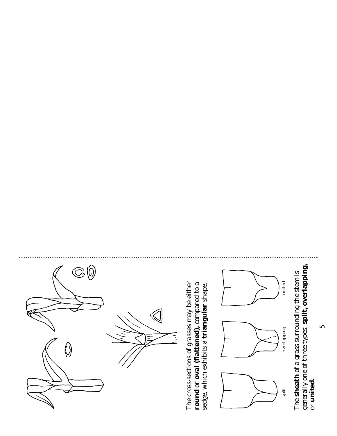

generally one of three types: split, overlapping, generally one of three types: **split, overlapping,** The sheath of a grass surrounding the stem is The **sheath** of a grass surrounding the stem is or united. or **united.**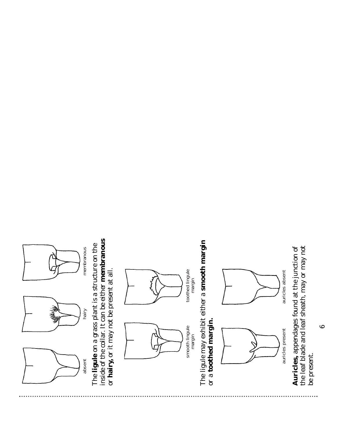

inside of the collar. It can be either membranous inside of the collar. It can be either **membranous** The ligule on a grass plant is a structure on the The **ligule** on a grass plant is a structure on the or hairy, or it may not be present at all. or **hairy,** or it may not be present at all.





toothed lingule toothed lingule<br>margin The ligule may exhibit either a smooth margin The ligule may exhibit either a **smooth margin** or a toothed margin. or a **toothed margin.**



the leaf blade and leaf sheath, may or may not Auricles, appendages found at the junction of the leaf blade and leaf sheath, may or may not **Auricles,** appendages found at the junction of be present.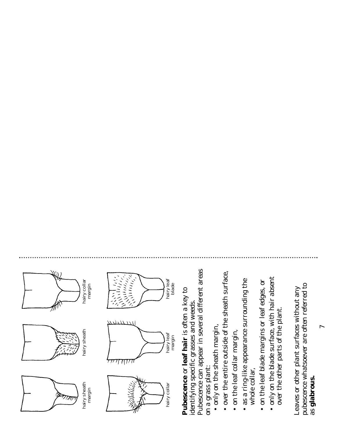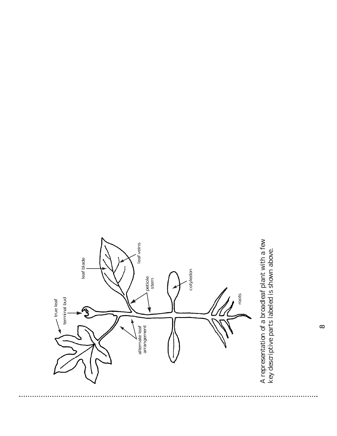

A representation of a broadleaf plant with a few representation of a broadleaf plant with a few key descriptive parts labeled is shown above. key descriptive parts labeled is shown above.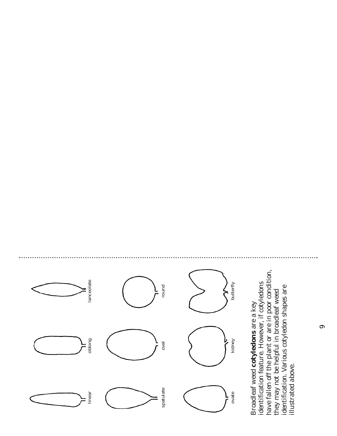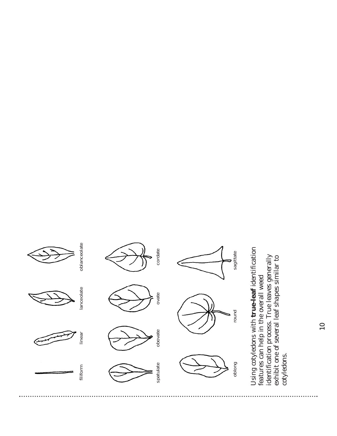

 $\overline{\phantom{0}}$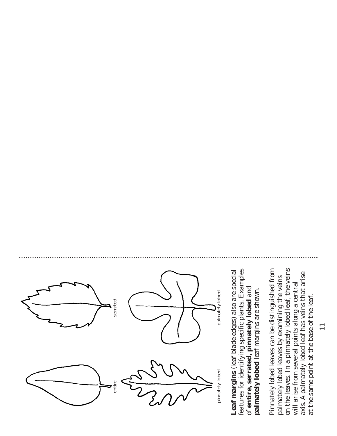

features for identifying specific plants. Examples Leaf margins (leaf blade edges) also are special features for identifying specific plants. Examples **Leaf margins** (leaf blade edges) also are special of entire, serrated, pinnately lobed and **palmately lobed** leaf margins are shown. of **entire, serrated, pinnately lobed** and palmately lobed leaf margins are shown.

on the leaves. In a pinnately lobed leaf, the veins Pinnately lobed leaves can be distinguished from on the leaves. In a pinnately lobed leaf, the veins Pinnately lobed leaves can be distinguished from palmately lobed leaf has veins that arise palmately lobed leaves by examining the veins palmately lobed leaves by examining the veins will arise from several points along a central will arise from several points along a central at the same point at the base of the leaf. at the same point at the base of the leaf. axis. A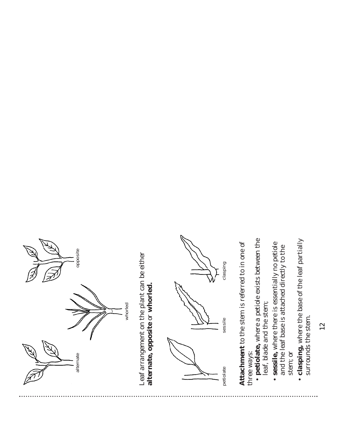

12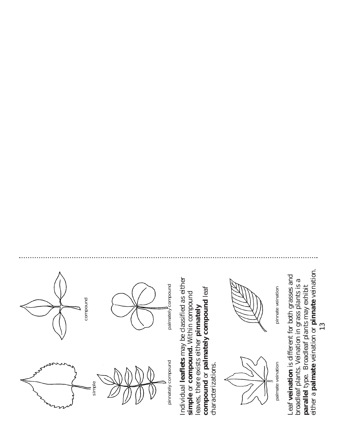

either a palmate veination or pinnate veination. either a **palmate** veination or **pinnate** veination. broadleaf plants. Veination in grass plants is a broadleaf plants. Veination in grass plants is a parallel type. Broadleaf plants may exhibit **parallel** type. Broadleaf plants may exhibit

13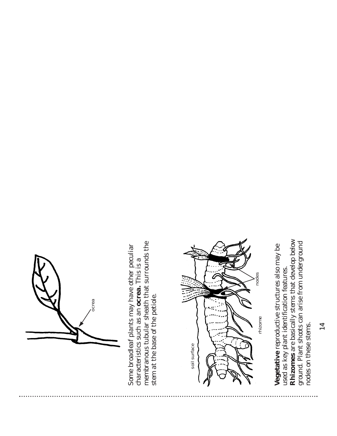

membranous tubular sheath that surrounds the membranous tubular sheath that surrounds the Some broadleaf plants may have other peculiar Some broadleaf plants may have other peculiar characteristics such as an ocrea. This is a characteristics such as an **ocrea.** This is a stem at the base of the petiole. stem at the base of the petiole.



Rhizomes are basically stems that develop below **Rhizomes** are basically stems that develop below ground. Plant shoots can arise from underground ground. Plant shoots can arise from underground Vegetative reproductive structures also may be **Vegetative** reproductive structures also may be used as key plant identification features. used as key plant identification features. nodes on these stems. nodes on these stems.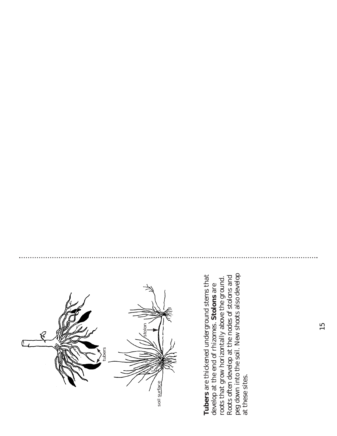

peg down into the soil. New shoots also develop peg down into the soil. New shoots also develop Tubers are thickened underground stems that **Tubers** are thickened underground stems that Roots often develop at the nodes of stolons and Roots often develop at the nodes of stolons and roots that grow horizontally above the ground roots that grow horizontally above the ground. develop at the end of rhizomes. Stolons are develop at the end of rhizomes. **Stolons** are at these sites. at these sites.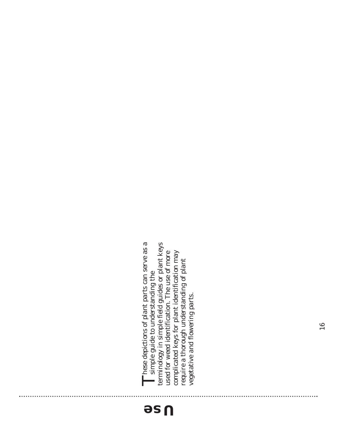## **Use**

These depictions of plant parts can serve as a terminology in simple field guides or plant keys **These depictions of plant parts can serve as a** simple guide to understanding the terminology in simple field guides or plant keys used for weed identification. The use of more complicated keys for plant identification may complicated keys for plant identification may used for weed identification. The use of more require a thorough understanding of plant require a thorough understanding of plant simple guide to understanding the vegetative and flowering parts. vegetative and flowering parts.